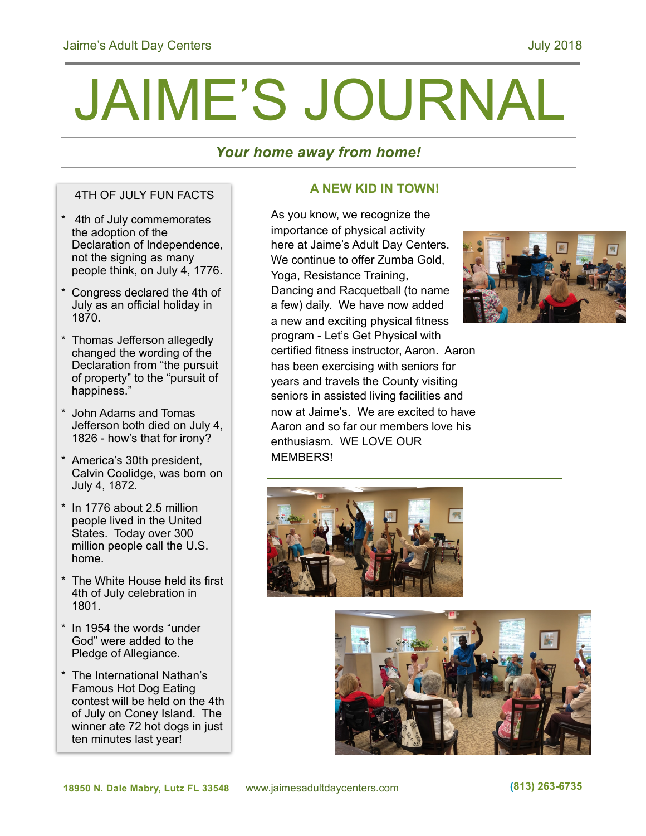# JAIME'S JOURNAL

# *Your home away from home!*

### 4TH OF JULY FUN FACTS

- \* 4th of July commemorates the adoption of the Declaration of Independence, not the signing as many people think, on July 4, 1776.
- \* Congress declared the 4th of July as an official holiday in 1870.
- \* Thomas Jefferson allegedly changed the wording of the Declaration from "the pursuit of property" to the "pursuit of happiness."
- \* John Adams and Tomas Jefferson both died on July 4, 1826 - how's that for irony?
- \* America's 30th president, Calvin Coolidge, was born on July 4, 1872.
- \* In 1776 about 2.5 million people lived in the United States. Today over 300 million people call the U.S. home.
- \* The White House held its first 4th of July celebration in 1801.
- \* In 1954 the words "under God" were added to the Pledge of Allegiance.
- \* The International Nathan's Famous Hot Dog Eating contest will be held on the 4th of July on Coney Island. The winner ate 72 hot dogs in just ten minutes last year!

# **A NEW KID IN TOWN!**

As you know, we recognize the importance of physical activity here at Jaime's Adult Day Centers. We continue to offer Zumba Gold, Yoga, Resistance Training, Dancing and Racquetball (to name a few) daily. We have now added a new and exciting physical fitness program - Let's Get Physical with certified fitness instructor, Aaron. Aaron has been exercising with seniors for years and travels the County visiting seniors in assisted living facilities and now at Jaime's. We are excited to have Aaron and so far our members love his enthusiasm. WE LOVE OUR MEMBERS!





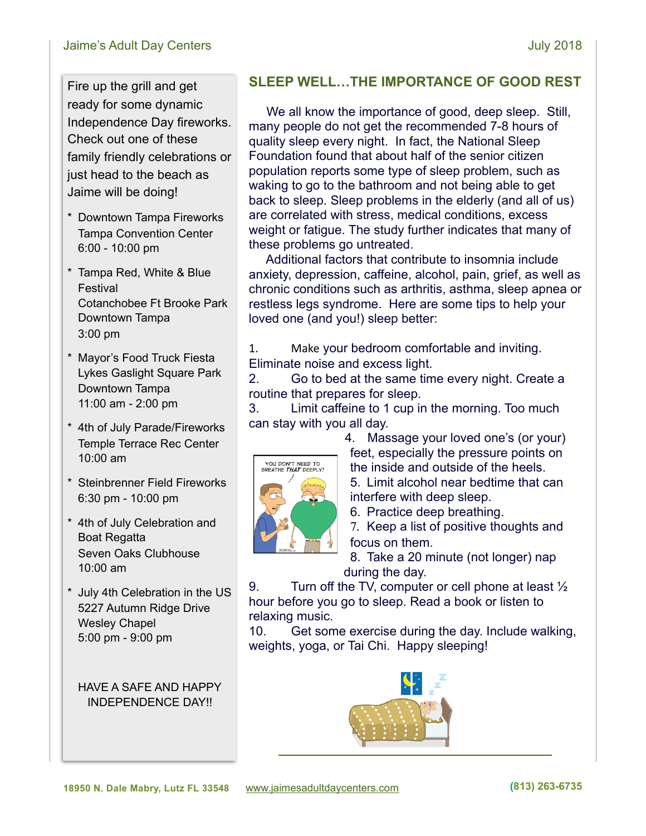#### Jaime's Adult Day Centers **July 2018**

Fire up the grill and get ready for some dynamic Independence Day fireworks. Check out one of these family friendly celebrations or just head to the beach as Jaime will be doing!

- \* Downtown Tampa Fireworks Tampa Convention Center 6:00 - 10:00 pm
- \* Tampa Red, White & Blue Festival Cotanchobee Ft Brooke Park Downtown Tampa 3:00 pm
- \* Mayor's Food Truck Fiesta Lykes Gaslight Square Park Downtown Tampa 11:00 am - 2:00 pm
- \* 4th of July Parade/Fireworks Temple Terrace Rec Center 10:00 am
- \* Steinbrenner Field Fireworks 6:30 pm - 10:00 pm
- \* 4th of July Celebration and Boat Regatta Seven Oaks Clubhouse 10:00 am
- \* July 4th Celebration in the US 5227 Autumn Ridge Drive Wesley Chapel 5:00 pm - 9:00 pm

HAVE A SAFE AND HAPPY INDEPENDENCE DAY!!

# **SLEEP WELL…THE IMPORTANCE OF GOOD REST**

We all know the importance of good, deep sleep. Still, many people do not get the recommended 7-8 hours of quality sleep every night. In fact, the National Sleep Foundation found that about half of the senior citizen population reports some type of sleep problem, such as waking to go to the bathroom and not being able to get back to sleep. Sleep problems in the elderly (and all of us) are correlated with stress, medical conditions, excess weight or fatigue. The study further indicates that many of these problems go untreated.

 Additional factors that contribute to insomnia include anxiety, depression, caffeine, alcohol, pain, grief, as well as chronic conditions such as arthritis, asthma, sleep apnea or restless legs syndrome. Here are some tips to help your loved one (and you!) sleep better:

1. Make your bedroom comfortable and inviting. Eliminate noise and excess light.

2. Go to bed at the same time every night. Create a routine that prepares for sleep.

3. Limit caffeine to 1 cup in the morning. Too much can stay with you all day.



4. Massage your loved one's (or your) feet, especially the pressure points on the inside and outside of the heels. 5. Limit alcohol near bedtime that can interfere with deep sleep.

6. Practice deep breathing.

7. Keep a list of positive thoughts and focus on them.

8. Take a 20 minute (not longer) nap during the day.

9. Turn off the TV, computer or cell phone at least  $\frac{1}{2}$ hour before you go to sleep. Read a book or listen to relaxing music.

10. Get some exercise during the day. Include walking, weights, yoga, or Tai Chi. Happy sleeping!